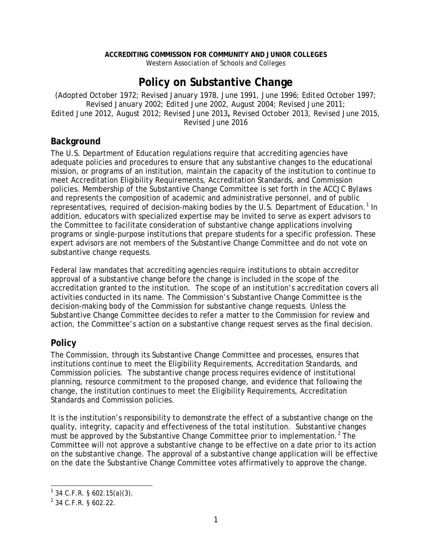#### **ACCREDITING COMMISSION FOR COMMUNITY AND JUNIOR COLLEGES** Western Association of Schools and Colleges

# **Policy on Substantive Change**

(*Adopted October 1972; Revised January 1978, June 1991, June 1996; Edited October 1997; Revised January 2002; Edited June 2002, August 2004; Revised June 2011; Edited June 2012, August 2012; Revised June 2013, Revised October 2013, Revised June 2015, Revised June 2016*

#### **Background**

The U.S. Department of Education regulations require that accrediting agencies have adequate policies and procedures to ensure that any substantive changes to the educational mission, or programs of an institution, maintain the capacity of the institution to continue to meet Accreditation Eligibility Requirements, Accreditation Standards, and Commission policies. Membership of the Substantive Change Committee is set forth in the ACCJC Bylaws and represents the composition of academic and administrative personnel, and of public representatives, required of decision-making bodies by the U.S. Department of Education.<sup>[1](#page-0-0)</sup> In addition, educators with specialized expertise may be invited to serve as expert advisors to the Committee to facilitate consideration of substantive change applications involving programs or single-purpose institutions that prepare students for a specific profession. These expert advisors are not members of the Substantive Change Committee and do not vote on substantive change requests.

Federal law mandates that accrediting agencies require institutions to obtain accreditor approval of a substantive change before the change is included in the scope of the accreditation granted to the institution. The scope of an institution's accreditation covers all activities conducted in its name. The Commission's Substantive Change Committee is the decision-making body of the Commission for substantive change requests. Unless the Substantive Change Committee decides to refer a matter to the Commission for review and action, the Committee's action on a substantive change request serves as the final decision.

#### **Policy**

The Commission, through its Substantive Change Committee and processes, ensures that institutions continue to meet the Eligibility Requirements, Accreditation Standards, and Commission policies. The substantive change process requires evidence of institutional planning, resource commitment to the proposed change, and evidence that following the change, the institution continues to meet the Eligibility Requirements, Accreditation Standards and Commission policies.

It is the institution's responsibility to demonstrate the effect of a substantive change on the quality, integrity, capacity and effectiveness of the total institution. Substantive changes must be approved by the Substantive Change Committee prior to implementation.<sup>[2](#page-0-1)</sup> The Committee will not approve a substantive change to be effective on a date prior to its action on the substantive change. The approval of a substantive change application will be effective on the date the Substantive Change Committee votes affirmatively to approve the change.

<span id="page-0-0"></span> $1$  34 C.F.R. § 602.15(a)(3).

<span id="page-0-1"></span><sup>2</sup> 34 C.F.R. § 602.22.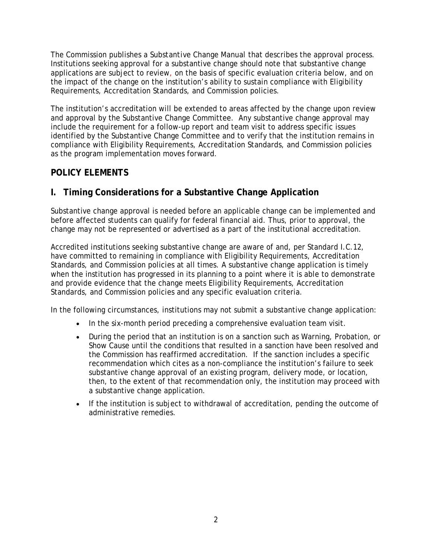The Commission publishes a *Substantive Change Manual* that describes the approval process. Institutions seeking approval for a substantive change should note that substantive change applications are subject to review, on the basis of specific evaluation criteria below, and on the impact of the change on the institution's ability to sustain compliance with Eligibility Requirements, Accreditation Standards, and Commission policies.

The institution's accreditation will be extended to areas affected by the change upon review and approval by the Substantive Change Committee. Any substantive change approval may include the requirement for a follow-up report and team visit to address specific issues identified by the Substantive Change Committee and to verify that the institution remains in compliance with Eligibility Requirements, Accreditation Standards, and Commission policies as the program implementation moves forward.

#### **POLICY ELEMENTS**

# **I. Timing Considerations for a Substantive Change Application**

Substantive change approval is needed before an applicable change can be implemented and before affected students can qualify for federal financial aid. Thus, prior to approval, the change may not be represented or advertised as a part of the institutional accreditation.

Accredited institutions seeking substantive change are aware of and, per Standard I.C.12, have committed to remaining in compliance with Eligibility Requirements, Accreditation Standards, and Commission policies at all times. A substantive change application is timely when the institution has progressed in its planning to a point where it is able to demonstrate and provide evidence that the change meets Eligibility Requirements, Accreditation Standards, and Commission policies and any specific evaluation criteria.

In the following circumstances, institutions may not submit a substantive change application:

- In the six-month period preceding a comprehensive evaluation team visit.
- During the period that an institution is on a sanction such as Warning, Probation, or Show Cause until the conditions that resulted in a sanction have been resolved and the Commission has reaffirmed accreditation. If the sanction includes a specific recommendation which cites as a non-compliance the institution's failure to seek substantive change approval of an existing program, delivery mode, or location, then, to the extent of that recommendation only, the institution may proceed with a substantive change application.
- If the institution is subject to withdrawal of accreditation, pending the outcome of administrative remedies.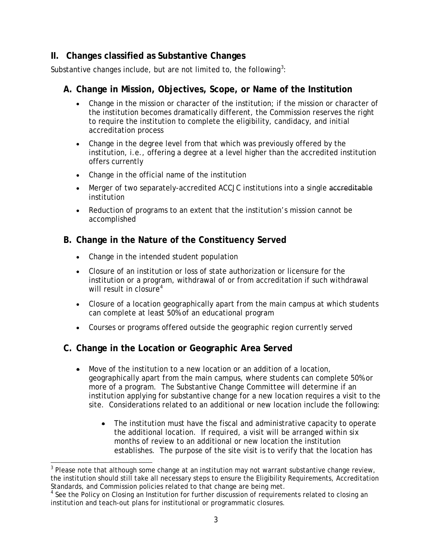# **II. Changes classified as Substantive Changes**

Substantive changes include, but are not limited to, the following<sup>[3](#page-2-0)</sup>:

#### **A. Change in Mission, Objectives, Scope, or Name of the Institution**

- Change in the mission or character of the institution; if the mission or character of the institution becomes dramatically different, the Commission reserves the right to require the institution to complete the eligibility, candidacy, and initial accreditation process
- Change in the degree level from that which was previously offered by the institution, i.e., offering a degree at a level higher than the accredited institution offers currently
- Change in the official name of the institution
- Merger of two separately-accredited ACCJC institutions into a single accreditable institution
- Reduction of programs to an extent that the institution's mission cannot be accomplished

# **B. Change in the Nature of the Constituency Served**

- Change in the intended student population
- Closure of an institution or loss of state authorization or licensure for the institution or a program, withdrawal of or from accreditation if such withdrawal will result in closure<sup>[4](#page-2-1)</sup>
- Closure of a location geographically apart from the main campus at which students can complete at least 50% of an educational program
- Courses or programs offered outside the geographic region currently served

# **C. Change in the Location or Geographic Area Served**

- Move of the institution to a new location or an addition of a location, geographically apart from the main campus, where students can complete 50% or more of a program. The Substantive Change Committee will determine if an institution applying for substantive change for a new location requires a visit to the site. Considerations related to an additional or new location include the following:
	- The institution must have the fiscal and administrative capacity to operate the additional location. If required, a visit will be arranged within six months of review to an additional or new location the institution establishes. The purpose of the site visit is to verify that the location has

<span id="page-2-0"></span> $3$  Please note that although some change at an institution may not warrant substantive change review, the institution should still take all necessary steps to ensure the Eligibility Requirements, Accreditation Standards, and Commission policies related to that change are being met.

<span id="page-2-1"></span><sup>&</sup>lt;sup>4</sup> See the Policy on Closing an Institution for further discussion of requirements related to closing an institution and teach-out plans for institutional or programmatic closures.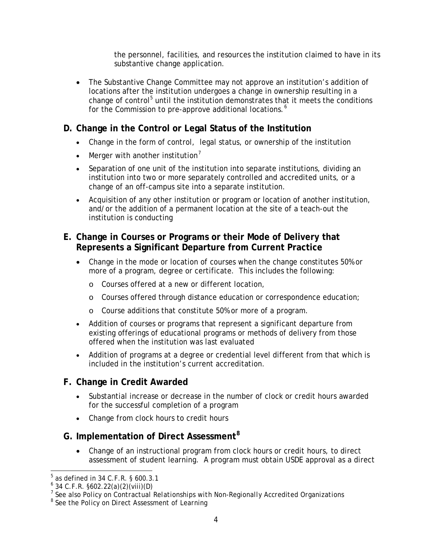the personnel, facilities, and resources the institution claimed to have in its substantive change application.

• The Substantive Change Committee may not approve an institution's addition of locations after the institution undergoes a change in ownership resulting in a change of control<sup>[5](#page-3-0)</sup> until the institution demonstrates that it meets the conditions for the Commission to pre-approve additional locations.<sup>[6](#page-3-1)</sup>

# **D. Change in the Control or Legal Status of the Institution**

- Change in the form of control, legal status, or ownership of the institution
- Merger with another institution<sup>[7](#page-3-2)</sup>
- Separation of one unit of the institution into separate institutions, dividing an institution into two or more separately controlled and accredited units, or a change of an off-campus site into a separate institution.
- Acquisition of any other institution or program or location of another institution, and/or the addition of a permanent location at the site of a teach-out the institution is conducting

# **E. Change in Courses or Programs or their Mode of Delivery that Represents a Significant Departure from Current Practice**

- Change in the mode or location of courses when the change constitutes 50% or more of a program, degree or certificate. This includes the following:
	- o Courses offered at a new or different location,
	- o Courses offered through distance education or correspondence education;
	- o Course additions that constitute 50% or more of a program.
- Addition of courses or programs that represent a significant departure from existing offerings of educational programs or methods of delivery from those offered when the institution was last evaluated
- Addition of programs at a degree or credential level different from that which is included in the institution's current accreditation.

#### **F. Change in Credit Awarded**

- Substantial increase or decrease in the number of clock or credit hours awarded for the successful completion of a program
- Change from clock hours to credit hours

# **G. Implementation of Direct Assessment[8](#page-3-3)**

• Change of an instructional program from clock hours or credit hours, to direct assessment of student learning. A program must obtain USDE approval as a direct

 $5$  as defined in 34 C.F.R. § 600.3.1

<span id="page-3-1"></span><span id="page-3-0"></span> $6$  34 C.F.R. §602.22(a)(2)(viii)(D)

<span id="page-3-2"></span><sup>7</sup> See also *Policy on Contractual Relationships with Non-Regionally Accredited Organizations*

<span id="page-3-3"></span><sup>8</sup> See the *Policy on Direct Assessment of Learning*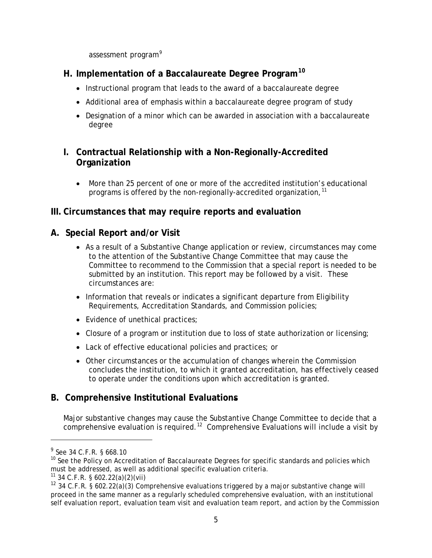assessment program<sup>[9](#page-4-0)</sup>

# **H. Implementation of a Baccalaureate Degree Program[10](#page-4-1)**

- Instructional program that leads to the award of a baccalaureate degree
- Additional area of emphasis within a baccalaureate degree program of study
- Designation of a minor which can be awarded in association with a baccalaureate degree

# **I. Contractual Relationship with a Non-Regionally-Accredited Organization**

• More than 25 percent of one or more of the accredited institution's educational programs is offered by the non-regionally-accredited organization,  $^{\rm 11}$  $^{\rm 11}$  $^{\rm 11}$ 

#### **III. Circumstances that may require reports and evaluation**

#### **A. Special Report and/or Visit**

- As a result of a Substantive Change application or review, circumstances may come to the attention of the Substantive Change Committee that may cause the Committee to recommend to the Commission that a special report is needed to be submitted by an institution. This report may be followed by a visit. These circumstances are:
- Information that reveals or indicates a significant departure from Eligibility Requirements, Accreditation Standards, and Commission policies;
- Evidence of unethical practices;
- Closure of a program or institution due to loss of state authorization or licensing;
- Lack of effective educational policies and practices; or
- Other circumstances or the accumulation of changes wherein the Commission concludes the institution, to which it granted accreditation, has effectively ceased to operate under the conditions upon which accreditation is granted.

#### **B. Comprehensive Institutional Evaluations**

Major substantive changes may cause the Substantive Change Committee to decide that a comprehensive evaluation is required.<sup>12</sup> Comprehensive Evaluations will include a visit by

 $\overline{a}$ 

<span id="page-4-0"></span><sup>9</sup> See 34 C.F.R. § 668.10

<span id="page-4-1"></span><sup>&</sup>lt;sup>10</sup> See the Policy on Accreditation of Baccalaureate Degrees for specific standards and policies which must be addressed, as well as additional specific evaluation criteria.

<span id="page-4-2"></span> $11$  34 C.F.R. § 602.22(a)(2)(vii)

<span id="page-4-3"></span><sup>&</sup>lt;sup>12</sup> 34 C.F.R. § 602.22(a)(3) Comprehensive evaluations triggered by a major substantive change will proceed in the same manner as a regularly scheduled comprehensive evaluation, with an institutional self evaluation report, evaluation team visit and evaluation team report, and action by the Commission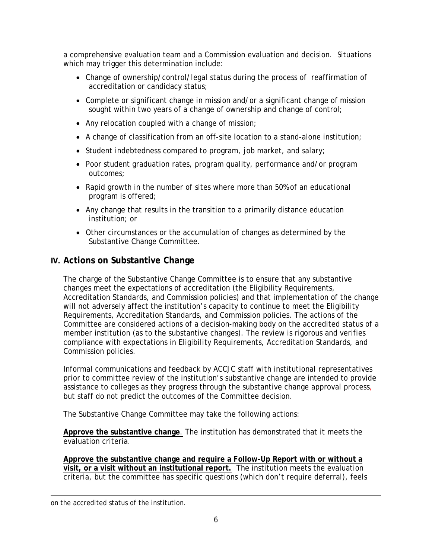a comprehensive evaluation team and a Commission evaluation and decision. Situations which may trigger this determination include:

- Change of ownership/control/legal status during the process of reaffirmation of accreditation or candidacy status;
- Complete or significant change in mission and/or a significant change of mission sought within two years of a change of ownership and change of control;
- Any relocation coupled with a change of mission;
- A change of classification from an off-site location to a stand-alone institution;
- Student indebtedness compared to program, job market, and salary;
- Poor student graduation rates, program quality, performance and/or program outcomes;
- Rapid growth in the number of sites where more than 50% of an educational program is offered;
- Any change that results in the transition to a primarily distance education institution; or
- Other circumstances or the accumulation of changes as determined by the Substantive Change Committee.

#### **IV. Actions on Substantive Change**

The charge of the Substantive Change Committee is to ensure that any substantive changes meet the expectations of accreditation (the Eligibility Requirements, Accreditation Standards, and Commission policies) and that implementation of the change will not adversely affect the institution's capacity to continue to meet the Eligibility Requirements, Accreditation Standards, and Commission policies. The actions of the Committee are considered actions of a decision-making body on the accredited status of a member institution (as to the substantive changes). The review is rigorous and verifies compliance with expectations in Eligibility Requirements, Accreditation Standards, and Commission policies.

Informal communications and feedback by ACCJC staff with institutional representatives prior to committee review of the institution's substantive change are intended to provide assistance to colleges as they progress through the substantive change approval process, but staff do not predict the outcomes of the Committee decision.

The Substantive Change Committee may take the following actions:

**Approve the substantive change**. The institution has demonstrated that it meets the evaluation criteria.

**Approve the substantive change and require a Follow-Up Report with or without a visit, or a visit without an institutional report.** The institution meets the evaluation criteria, but the committee has specific questions (which don't require deferral), feels

 $\overline{a}$ on the accredited status of the institution.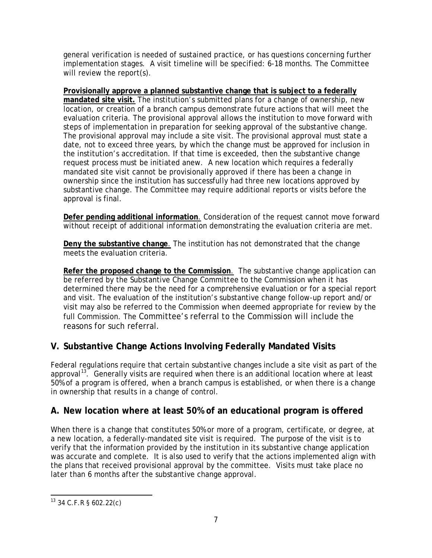general verification is needed of sustained practice, or has questions concerning further implementation stages. A visit timeline will be specified: 6-18 months. The Committee will review the report(s).

**Provisionally approve a planned substantive change that is subject to a federally mandated site visit.** The institution's submitted plans for a change of ownership, new location, or creation of a branch campus demonstrate future actions that will meet the evaluation criteria. The provisional approval allows the institution to move forward with steps of implementation in preparation for seeking approval of the substantive change. The provisional approval may include a site visit. The provisional approval must state a date, not to exceed three years, by which the change must be approved for inclusion in the institution's accreditation. If that time is exceeded, then the substantive change request process must be initiated anew. A new location which requires a federally mandated site visit cannot be provisionally approved if there has been a change in ownership since the institution has successfully had three new locations approved by substantive change. The Committee may require additional reports or visits before the approval is final.

**Defer pending additional information**. Consideration of the request cannot move forward without receipt of additional information demonstrating the evaluation criteria are met.

**Deny the substantive change**. The institution has not demonstrated that the change meets the evaluation criteria.

**Refer the proposed change to the Commission**. The substantive change application can be referred by the Substantive Change Committee to the Commission when it has determined there may be the need for a comprehensive evaluation or for a special report and visit. The evaluation of the institution's substantive change follow-up report and/or visit may also be referred to the Commission when deemed appropriate for review by the full Commission. The Committee's referral to the Commission will include the reasons for such referral.

# **V. Substantive Change Actions Involving Federally Mandated Visits**

Federal regulations require that certain substantive changes include a site visit as part of the approval<sup>[13](#page-6-0)</sup>. Generally visits are required when there is an additional location where at least 50% of a program is offered, when a branch campus is established, or when there is a change in ownership that results in a change of control.

# **A. New location where at least 50% of an educational program is offered**

When there is a change that constitutes 50% or more of a program, certificate, or degree, at a new location, a federally-mandated site visit is required. The purpose of the visit is to verify that the information provided by the institution in its substantive change application was accurate and complete. It is also used to verify that the actions implemented align with the plans that received provisional approval by the committee. Visits must take place no later than 6 months after the substantive change approval.

<span id="page-6-0"></span> <sup>13</sup> 34 C.F.R § 602.22(c)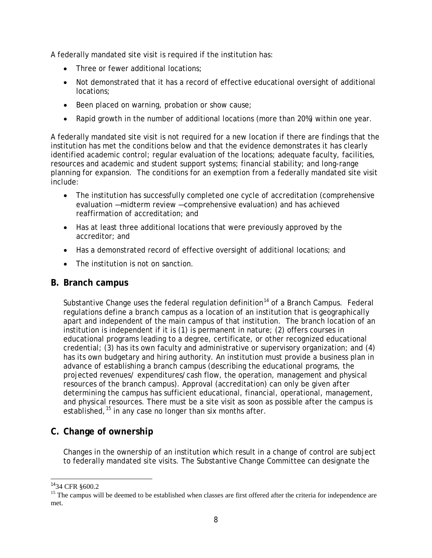A federally mandated site visit is required if the institution has:

- Three or fewer additional locations;
- Not demonstrated that it has a record of effective educational oversight of additional locations;
- Been placed on warning, probation or show cause;
- Rapid growth in the number of additional locations (more than 20%) within one year.

A federally mandated site visit is not required for a new location if there are findings that the institution has met the conditions below and that the evidence demonstrates it has clearly identified academic control; regular evaluation of the locations; adequate faculty, facilities, resources and academic and student support systems; financial stability; and long-range planning for expansion. The conditions for an exemption from a federally mandated site visit include:

- The institution has successfully completed one cycle of accreditation (comprehensive evaluation —midterm review —comprehensive evaluation) and has achieved reaffirmation of accreditation; and
- Has at least three additional locations that were previously approved by the accreditor; and
- Has a demonstrated record of effective oversight of additional locations; and
- The institution is not on sanction.

#### **B. Branch campus**

Substantive Change uses the federal regulation definition<sup>[14](#page-7-0)</sup> of a Branch Campus. Federal regulations define a branch campus as a location of an institution that is geographically apart and independent of the main campus of that institution. The branch location of an institution is independent if it is (1) is permanent in nature; (2) offers courses in educational programs leading to a degree, certificate, or other recognized educational credential; (3) has its own faculty and administrative or supervisory organization; and (4) has its own budgetary and hiring authority. An institution must provide a business plan in advance of establishing a branch campus (describing the educational programs, the projected revenues/ expenditures/cash flow, the operation, management and physical resources of the branch campus). Approval (accreditation) can only be given after determining the campus has sufficient educational, financial, operational, management, and physical resources. There must be a site visit as soon as possible after the campus is established,  $15$  in any case no longer than six months after.

#### **C. Change of ownership**

Changes in the ownership of an institution which result in a change of control are subject to federally mandated site visits. The Substantive Change Committee can designate the

<span id="page-7-1"></span><span id="page-7-0"></span><sup>&</sup>lt;sup>14</sup>34 CFR §600.2<br><sup>15</sup> The campus will be deemed to be established when classes are first offered after the criteria for independence are met.